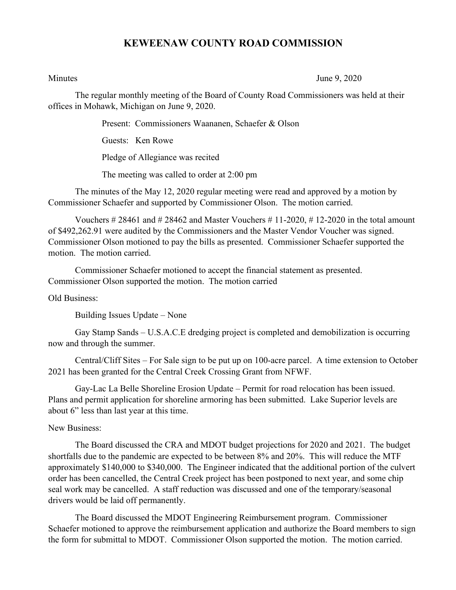## **KEWEENAW COUNTY ROAD COMMISSION**

Minutes June 9, 2020

The regular monthly meeting of the Board of County Road Commissioners was held at their offices in Mohawk, Michigan on June 9, 2020.

Present: Commissioners Waananen, Schaefer & Olson

Guests: Ken Rowe

Pledge of Allegiance was recited

The meeting was called to order at 2:00 pm

The minutes of the May 12, 2020 regular meeting were read and approved by a motion by Commissioner Schaefer and supported by Commissioner Olson. The motion carried.

Vouchers  $\# 28461$  and  $\# 28462$  and Master Vouchers  $\# 11-2020$ ,  $\# 12-2020$  in the total amount of \$492,262.91 were audited by the Commissioners and the Master Vendor Voucher was signed. Commissioner Olson motioned to pay the bills as presented. Commissioner Schaefer supported the motion. The motion carried.

Commissioner Schaefer motioned to accept the financial statement as presented. Commissioner Olson supported the motion. The motion carried

Old Business:

Building Issues Update – None

Gay Stamp Sands – U.S.A.C.E dredging project is completed and demobilization is occurring now and through the summer.

Central/Cliff Sites – For Sale sign to be put up on 100-acre parcel. A time extension to October 2021 has been granted for the Central Creek Crossing Grant from NFWF.

Gay-Lac La Belle Shoreline Erosion Update – Permit for road relocation has been issued. Plans and permit application for shoreline armoring has been submitted. Lake Superior levels are about 6" less than last year at this time.

## New Business:

The Board discussed the CRA and MDOT budget projections for 2020 and 2021. The budget shortfalls due to the pandemic are expected to be between 8% and 20%. This will reduce the MTF approximately \$140,000 to \$340,000. The Engineer indicated that the additional portion of the culvert order has been cancelled, the Central Creek project has been postponed to next year, and some chip seal work may be cancelled. A staff reduction was discussed and one of the temporary/seasonal drivers would be laid off permanently.

The Board discussed the MDOT Engineering Reimbursement program. Commissioner Schaefer motioned to approve the reimbursement application and authorize the Board members to sign the form for submittal to MDOT. Commissioner Olson supported the motion. The motion carried.